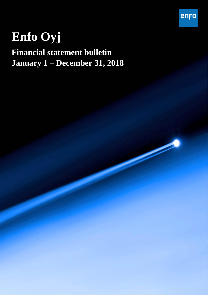# **Enfo Oyj**

## **Financial statement bulletin January 1 – December 31, 2018**

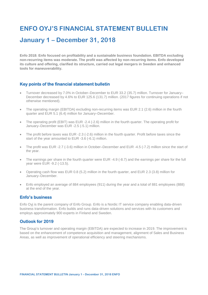## **ENFO OYJ'S FINANCIAL STATEMENT BULLETIN**

## **January 1 – December 31, 2018**

**Enfo 2018: Enfo focused on profitability and a sustainable business foundation. EBITDA excluding non-recurring items was moderate. The profit was affected by non-recurring items. Enfo developed its culture and offering, clarified its structure, carried out legal mergers in Sweden and enhanced tools for maneuverability.**

#### **Key points of the financial statement bulletin**

- Turnover decreased by 7.0% in October–December to EUR 33.2 (35.7) million. Turnover for January– December decreased by 4.6% to EUR 125.6 (131.7) million. (2017 figures for continuing operations if not otherwise mentioned).
- The operating margin (EBITDA) excluding non-recurring items was EUR 2.1 (2.6) million in the fourth quarter and EUR 5.1 (6.4) million for January–December.
- The operating profit (EBIT) was EUR -2.4 (-2.6) million in the fourth quarter. The operating profit for January–December was EUR -2.5 (-5.1) million.
- The profit before taxes was EUR -2.3 (-2.6) million in the fourth quarter. Profit before taxes since the start of the year amounted to EUR -3.6 (-6.1) million.
- The profit was EUR -2.7 (-3.6) million in October–December and EUR -4.5 (-7.2) million since the start of the year.
- The earnings per share in the fourth quarter were EUR -4.9 (-8.7) and the earnings per share for the full year were EUR -9.2 (-13.5).
- Operating cash flow was EUR 0.8 (5.2) million in the fourth quarter, and EUR 2.3 (3.8) million for January–December.
- Enfo employed an average of 884 employees (911) during the year and a total of 881 employees (888) at the end of the year.

#### **Enfo's business**

Enfo Oyj is the parent company of Enfo Group. Enfo is a Nordic IT service company enabling data-driven business transformation. Enfo builds and runs data-driven solutions and services with its customers and employs approximately 900 experts in Finland and Sweden.

### **Outlook for 2019**

The Group's turnover and operating margin (EBITDA) are expected to increase in 2019. The improvement is based on the enhancement of competence acquisition and management, alignment of Sales and Business Areas, as well as improvement of operational efficiency and steering mechanisms.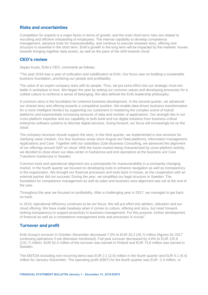#### **Risks and uncertainties**

Competition for experts is a major factor in terms of growth, and the main short-term risks are related to recruiting and efficient onboarding of employees. The internal capability to develop competence management, advance tools for maneuverability, and continue to execute renewed story, offering and structure is essential in the short term. Enfo's growth in the long term will be impacted by the markets' moves towards bringing together data assets, as well as the pace of the shift towards cloud.

### **CEO's review**

Seppo Kuula, Enfo's CEO, comments as follows:

"The year 2018 was a year of unification and solidification at Enfo. Our focus was on building a sustainable business foundation, prioritizing our people and profitability.

The value of an expert company rests with its people. Thus, we put extra effort into our strategic must-win battle A workplace to love. We began the year by setting our common values and developing processes for a unified culture to reinforce a sense of belonging. We also defined the Enfo leadership philosophy.

A common story is the foundation for coherent business development. In the second quarter, we advanced our shared story and offering towards a competitive position. We enable data-driven business transformation for a more intelligent Nordics by supporting our customers in mastering the complex scene of hybrid platforms and exponentially increasing amounts of data and number of applications. Our strength lies in our cross-platform expertise and our capability to both build and run digital solutions from business-critical enterprise software systems to discrete digital services. Going forward, our focus will increasingly be on the cloud.

The company structure should support the story. In the third quarter, we implemented a new structure for clarifying value creation. Our four business areas since August are Data platforms, Information management, Applications and Care. Together with our subsidiary Zuite Business Consulting, we advanced the alignment of our offerings around SAP on cloud. With the future market being characterized by cross-platform activity, we decided to close down our data center in Karlskrona and end operations at the business unit Care Transform Karlskrona in Sweden.

Common tools and operational alignment are a prerequisite for maneuverability in a constantly changing market. In the fourth quarter we focused on developing tools to enhance navigation as well as transparency in the organization. We brought our financial processes and tools back in-house, as the cooperation with an external partner did not succeed. During the year, we simplified our legal structure in Sweden. The foundation for competence management as well as sales and business area alignment was set at the end of the year.

Throughout the year we focused on profitability. After a challenging year in 2017, we managed to get back on track.

In 2019, operational efficiency continues to be our focus. We will put effort into attrition, utilization and our cloud offering. We have made headway when it comes to culture, offering and story, but need forwardlooking transparency to support proactivity in business management. For this purpose, further development of financial as well as a competence management tools and processes is crucial."

#### **Turnover and profit**

Enfo Group's turnover in October–December decreased 7.0% to EUR 33.2 (35.7) million (figures for 2017 continuing operations if not otherwise mentioned). Full-year turnover decreased by 4.6% to EUR 125.6 (131.7) million. EUR 52.0 million of the turnover was earned in Finland and EUR 73.6 million was earned in Sweden.

The EBITDA excluding non-recurring items was EUR 2.1 (2.6) million in the fourth quarter and EUR 5.1 (6.4) million for January–December. The operating profit (EBIT) for the fourth quarter was EUR -2.4 million, or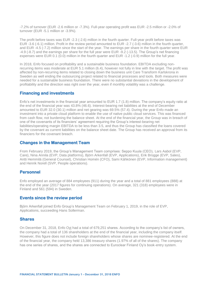-7.2% of turnover (EUR -2.6 million or -7.3%). Full-year operating profit was EUR -2.5 million or -2.0% of turnover (EUR -5.1 million or -3.9%).

The profit before taxes was EUR -2.3 (-2.6) million in the fourth quarter. Full-year profit before taxes was EUR -3.6 (-6.1) million. Profit in the review period amounted to EUR -2.7 (-3.6) million in the fourth quarter, and EUR -4.5 (-7.2) million since the start of the year. The earnings per share in the fourth quarter were EUR -4.9 (-8.7) and the earnings per share for the full year were EUR -9.2 (-13.5). The Group's net financing expenses were EUR 0.1 (0.0) million in the fourth quarter and EUR -1.2 (-0.9) million for the full year.

In 2018, Enfo focused on profitability and a sustainable business foundation. EBITDA excluding nonrecurring items was moderate at EUR 5.1 million (6.4), however not fully in line with the target. The profit was affected by non-recurring items related to closing down the business unit Care Transform Karlskrona in Sweden as well ending the outsourcing project related to financial processes and tools. Both measures were needed for a sustainable business foundation. There were no substantial deviations in the development of profitability and the direction was right over the year, even if monthly volatility was a challenge.

#### **Financing and investments**

Enfo's net investments in the financial year amounted to EUR 1.7 (1.8) million. The company's equity ratio at the end of the financial year was 43.8% (46.6). Interest-bearing net liabilities at the end of December amounted to EUR 32.0 (30.1) million and net gearing was 69.5% (57.4). During the year Enfo made an investment into a private cloud platform to enable the use of native public cloud services. This was financed from cash flow, not burdening the balance sheet. At the end of the financial year, the Group was in breach of one of the covenants of its financiers' agreement requiring the Group's interest-bearing net liabilities/operating margin EBITDA to be less than 3.5, and thus the Group has classified the loans covered by the covenant as current liabilities on the balance sheet date. The Group has received an approval from its financiers for the covenant breach.

#### **Changes in the Management Team**

From February 2019, the Group's Management Team comprises: Seppo Kuula (CEO), Lars Aabol (EVP, Care), Nina Annila (EVP, Data platforms), Björn Arkenfall (EVP, Applications), Erik Brügge (EVP, Sales), Antti Hemmilä (General Counsel), Christian Homén (CFO), Sami Kähkönen (EVP, Information management) and Henrik Norell (SVP, People operations).

#### **Personnel**

Enfo employed an average of 884 employees (911) during the year and a total of 881 employees (888) at the end of the year (2017 figures for continuing operations). On average, 321 (318) employees were in Finland and 561 (594) in Sweden.

#### **Events since the review period**

Björn Arkenfall joined Enfo Group's Management Team on February 1, 2019, in the role of EVP, Applications, succeeding Hans Sollerman.

#### **Shares**

On December 31, 2018, Enfo Oyj had a total of 679,251 shares. According to the company's list of owners, the company had a total of 136 shareholders at the end of the financial year, including the company itself. However, this figure does not include foreign shareholders whose shares are nominee-registered. At the end of the financial year, the company held 13,386 treasury shares (1.97% of all of the shares). The company has one series of shares, and the shares are connected to Euroclear Finland Ov's book-entry system.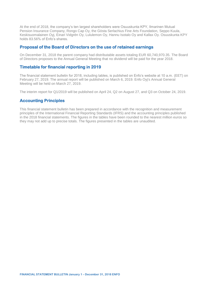At the end of 2018, the company's ten largest shareholders were Osuuskunta KPY, Ilmarinen Mutual Pension Insurance Company, Rongo Cap Oy, the Gösta Serlachius Fine Arts Foundation, Seppo Kuula, Keskisuomalainen Oyj, Einari Vidgrén Oy, Lululemon Oy, Hannu Isotalo Oy and Kallax Oy. Osuuskunta KPY holds 83.56% of Enfo's shares.

#### **Proposal of the Board of Directors on the use of retained earnings**

On December 31, 2018 the parent company had distributable assets totaling EUR 60,740,970.35. The Board of Directors proposes to the Annual General Meeting that no dividend will be paid for the year 2018.

#### **Timetable for financial reporting in 2019**

The financial statement bulletin for 2018, including tables, is published on Enfo's website at 10 a.m. (EET) on February 27, 2019. The annual report will be published on March 6, 2019. Enfo Oyj's Annual General Meeting will be held on March 27, 2019.

The interim report for Q1/2019 will be published on April 24, Q2 on August 27, and Q3 on October 24, 2019.

#### **Accounting Principles**

This financial statement bulletin has been prepared in accordance with the recognition and measurement principles of the International Financial Reporting Standards (IFRS) and the accounting principles published in the 2018 financial statements. The figures in the tables have been rounded to the nearest million euros so they may not add up to precise totals. The figures presented in the tables are unaudited.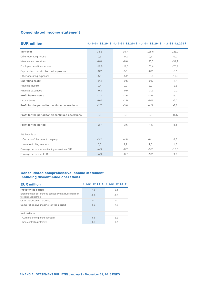#### **Consolidated income statement**

#### **EUR million 1 .1 0 -3 1 .1 2 .2 0 1 8 1 .1 0 -3 1 .1 2 .2 0 1 7 1 .1 -3 1 .1 2 .2 0 1 8 1 .1 -3 1 .1 2 .2 0 1 7**

| Turnover                                          | 33,2    | 35,7    | 125,6   | 131,7   |
|---------------------------------------------------|---------|---------|---------|---------|
| Other operating income                            | 0,5     | $-0,2$  | 0,7     | 0, 0    |
| Materials and services                            | $-8,0$  | $-8,6$  | $-30,3$ | $-31,7$ |
| Employee benefit expenses                         | $-19,8$ | $-19.3$ | $-73,4$ | $-78.2$ |
| Depreciation, amortization and impairment         | $-3,2$  | $-5,1$  | $-6,2$  | $-9,1$  |
| Other operating expenses                          | $-5,1$  | $-5,2$  | $-18,8$ | $-17,9$ |
| Operating profit                                  | $-2,4$  | $-2,6$  | $-2,5$  | $-5,1$  |
| Financial income                                  | 0,4     | 0,9     | 2,0     | 1,2     |
| Financial expenses                                | $-0,3$  | $-0.9$  | $-3,2$  | $-2,1$  |
| Profit before taxes                               | $-2,3$  | $-2,6$  | $-3,6$  | $-6,1$  |
| Income taxes                                      | $-0,4$  | $-1,0$  | $-0,8$  | $-1,1$  |
| Profit for the period for continued operations    | $-2,7$  | $-3,6$  | $-4,5$  | $-7,2$  |
|                                                   |         |         |         |         |
| Profit for the period for discontinued operations | 0,0     | 0,0     | 0,0     | 15,5    |
|                                                   |         |         |         |         |
| Profit for the period                             | $-2,7$  | $-3,6$  | $-4,5$  | 8,4     |
|                                                   |         |         |         |         |
| Attributable to                                   |         |         |         |         |
| Ow ners of the parent company                     | $-3,2$  | $-4,8$  | $-6,1$  | 6,6     |
| Non-controlling interests                         | 0,5     | 1,2     | 1,6     | 1,8     |
| Earnings per share, continuing operations EUR     | $-4,9$  | $-8,7$  | $-9,2$  | $-13.5$ |
| Earnings per share, EUR                           | $-4,9$  | $-8,7$  | $-9,2$  | 9,9     |

## **Consolidated comprehensive income statement**

| including discontinued operations                                              |                               |        |  |  |  |  |
|--------------------------------------------------------------------------------|-------------------------------|--------|--|--|--|--|
| <b>EUR million</b>                                                             | 1.1-31.12.2018 1.1-31.12.2017 |        |  |  |  |  |
| Profit for the period                                                          | $-4.5$                        | 8.4    |  |  |  |  |
| Exchange rate differences caused by net investments in<br>foreign subsidiaries | $-0.6$                        | $-0.5$ |  |  |  |  |
| Other translation differences                                                  | $-0.1$                        | $-0.1$ |  |  |  |  |
| Comprehensive income for the period                                            | $-5.2$                        | 7.8    |  |  |  |  |
| Attributable to                                                                |                               |        |  |  |  |  |
| Ow ners of the parent company                                                  | $-6.8$                        | 6,1    |  |  |  |  |
| Non-controlling interests                                                      | 1.6                           | 1.7    |  |  |  |  |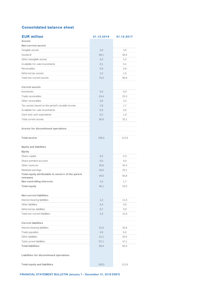### **Consolidated balance sheet**

| <b>Consolidated balance sheet</b>                 |            |            |
|---------------------------------------------------|------------|------------|
| <b>EUR million</b>                                | 31.12.2018 | 31.12.2017 |
| <b>Assets</b>                                     |            |            |
| Non-current assets                                |            |            |
| Tangible assets                                   | 2,8        | 3,5        |
| Goodw ill                                         | 66,1       | 69,5       |
| Other intangible assets                           | 4,2        | 5,3        |
| Available-for-sale investments                    | 0,1        | 0,1        |
| Receivables                                       | 0,9        | 0,8        |
| Deferred tax assets                               | 1,5        | 1,6        |
| Total non-current assets                          | 75,5       | 80,8       |
|                                                   |            |            |
| <b>Current assets</b>                             |            |            |
| Inventories                                       | 0,0        | 0,0        |
| Trade receivables                                 | 24,4       | 25,3       |
| Other receivables                                 | 3,6        | 3,2        |
| Tax assets based on the period's taxable income   | 1,8        | 1,7        |
| Available-for-sale investments                    | 0,0        | 0, 0       |
| Cash and cash equivalents                         | 0,2        | 1,9        |
| Total current assets                              | 30,0       | 32,1       |
|                                                   |            |            |
| Assets for discontinued operations                |            |            |
| <b>Total assets</b>                               | 105,5      | 112,9      |
|                                                   |            |            |
| <b>Equity and liabilities</b>                     |            |            |
| Equity                                            |            |            |
| Share capital                                     | 0,3        | 0,3        |
| Share premium account                             | 0,0        | 0,0        |
| Other reserves                                    | 25,6       | 25,4       |
| Retained earnings                                 | 18,6       | 25,1       |
| Total equity attributable to owners of the parent |            |            |
| company                                           | 44,5       | 50,8       |
| Non-controlling interests                         | 1,6        | 1,7        |
| <b>Total equity</b>                               | 46,1       | 52,5       |
|                                                   |            |            |
| Non-current liabilities                           |            |            |
| Interest-bearing liabilities                      | 1,2        | 11,5       |
| Other liabilities                                 | 0,4        | 0,9        |
| Deferred tax liabilities                          | 0,7        | 0,9        |
| Total non-current liabilities                     | 2,3        | 13,3       |
|                                                   |            |            |
| <b>Current liabilities</b>                        |            |            |
| Interest-bearing liabilities                      | 31,0       | 20,6       |
| Trade payables                                    | 4,9        | 6,0        |
| Other liabilities                                 | 21,2       | 20,5       |
| <b>Total current liabilities</b>                  | 57,1       | 47,1       |
| <b>Total liabilities</b>                          | 59,4       | 60,4       |
|                                                   |            |            |
| Liabilities for discontinued operations           |            |            |
| <b>Total equity and liabilities</b>               | 105,5      | 112,9      |
|                                                   |            |            |

**FINANCIAL STATEMENT BULLETIN January 1 – December 31, 2018 ENFO**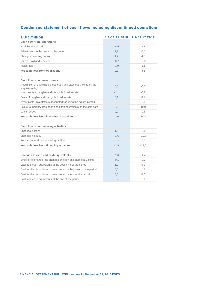| <b>Condensed statement of cash flows including discontinued operations</b>           |                |                |  |  |  |
|--------------------------------------------------------------------------------------|----------------|----------------|--|--|--|
| <b>EUR million</b>                                                                   | 1.1-31.12.2018 | 1.1-31.12.2017 |  |  |  |
| Cash flow from operations                                                            |                |                |  |  |  |
| Profit for the period                                                                | $-4,5$         | 8,4            |  |  |  |
| Adjustments to the profit for the period                                             | 7,9            | $-6,7$         |  |  |  |
| Change in w orking capital                                                           | 1,4            | 4,5            |  |  |  |
| Interest paid and received                                                           | $-0,7$         | $-0,8$         |  |  |  |
| Taxes paid                                                                           | $-1,9$         | $-1,5$         |  |  |  |
| Net cash flow from operations                                                        | 2,3            | 3,8            |  |  |  |
|                                                                                      |                |                |  |  |  |
| Cash flow from investments                                                           |                |                |  |  |  |
| Acquisition of subsidiaries less cash and cash equivalents on the<br>acquisition day | 0,0            | $-0.7$         |  |  |  |
| Investments in tangible and intangible fixed assets                                  | $-1,1$         | $-0.8$         |  |  |  |
| Sales of tangible and intangible fixed assets                                        | 0,1            | 0,1            |  |  |  |
| Investments: Investments accounted for using the equity method                       | 0,0            | $-2,4$         |  |  |  |
| Sale of subsidiary less cash and cash equivalents on the sale date                   | 0, 0           | 19,0           |  |  |  |
| Loans issued                                                                         | 0,0            | $-0,5$         |  |  |  |
| Net cash flow from investment activities                                             | $-1,0$         | 14,8           |  |  |  |
|                                                                                      |                |                |  |  |  |
| Cash flow from financing activities                                                  |                |                |  |  |  |
| Changes in loans                                                                     | 1,0            | $-9,9$         |  |  |  |
| Changes in equity                                                                    | $-1,6$         | $-10,3$        |  |  |  |
| Repayment of financial leasing liabilities                                           | $-2,3$         | $-2,7$         |  |  |  |
| Net cash flow from financing activities                                              | $-2,9$         | $-23,0$        |  |  |  |
|                                                                                      |                |                |  |  |  |
| Changes in cash and cash equivalents                                                 | $-1,6$         | $-4,4$         |  |  |  |
| Effect of exchange rate changes on cash and cash equivalents                         | $-0,1$         | $-0,2$         |  |  |  |
| Cash and cash equivalents at the beginning of the period                             | 1,9            | 5,0            |  |  |  |
| Cash of the discontinued operations at the beginning of the period                   | 0,0            | 1,5            |  |  |  |
| Cash of the discontinued operations at the end of the period                         | 0,0            | 0,0            |  |  |  |
| Cash and cash equivalents at the end of the period                                   | 0,2            | 1,9            |  |  |  |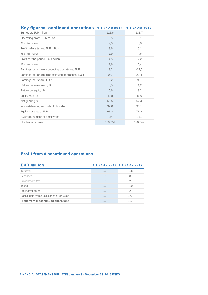| Key figures, continued operations 1.1-31.12.2018  |         | 1.1-31.12.2017 |
|---------------------------------------------------|---------|----------------|
| Turnover, EUR million                             | 125,6   | 131,7          |
| Operating profit, EUR million                     | $-2,5$  | $-5,1$         |
| % of turnover                                     | $-2.0$  | $-3.9$         |
| Profit before taxes, EUR million                  | $-3.6$  | $-6.1$         |
| % of turnover                                     | $-2.9$  | $-4.6$         |
| Profit for the period, EUR million                | $-4,5$  | $-7,2$         |
| % of turnover                                     | $-3,6$  | $-5,4$         |
| Earnings per share, continuing operations, EUR    | $-9,2$  | $-13.5$        |
| Earnings per share, discontinuing operations, EUR | 0,0     | 23.4           |
| Earnings per share, EUR                           | $-9.2$  | 9.9            |
| Return on investment, %                           | $-0.5$  | $-4,2$         |
| Return on equity, %                               | $-5,6$  | $-9,2$         |
| Equity ratio, %                                   | 43,8    | 46.6           |
| Net gearing, %                                    | 69.5    | 57,4           |
| Interest-bearing net debt, EUR million            | 32,0    | 30.1           |
| Equity per share, EUR                             | 66,8    | 76,2           |
| Average number of employees                       | 884     | 911            |
| Number of shares                                  | 679 251 | 670 349        |

### **Profit from discontinued operations**

| <u>FIGHT HOME GISCONTINUED OPERATIONS</u>  |                               |        |  |  |  |  |
|--------------------------------------------|-------------------------------|--------|--|--|--|--|
| <b>EUR million</b>                         | 1.1-31.12.2018 1.1-31.12.2017 |        |  |  |  |  |
| Turnover                                   | 0,0                           | 6,6    |  |  |  |  |
| <b>Expenses</b>                            | 0,0                           | $-8,8$ |  |  |  |  |
| Profit before tax                          | 0,0                           | $-2,2$ |  |  |  |  |
| Taxes                                      | 0,0                           | 0,0    |  |  |  |  |
| Profit after taxes                         | 0.0                           | $-2,3$ |  |  |  |  |
| Capital gain from subsidiaries after taxes | 0.0                           | 17,8   |  |  |  |  |
| Profit from discontinued operations        | 0.0                           | 15,5   |  |  |  |  |
|                                            |                               |        |  |  |  |  |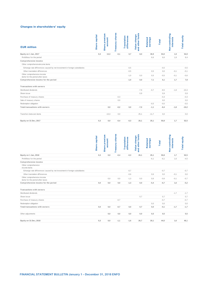#### **Changes in shareholders' equity**

| <b>EUR million</b>                                                        | Share capital        | Share premium<br>account | <b>Treasury shares</b> | <b>Translation</b><br>differences | and other funds<br>Value change | Retained<br>earnings | <b>Total</b> | Non-controlling<br><b>interests</b> | <b>Total equity</b> |
|---------------------------------------------------------------------------|----------------------|--------------------------|------------------------|-----------------------------------|---------------------------------|----------------------|--------------|-------------------------------------|---------------------|
| Equity on 1 Jan, 2017                                                     | 0,3                  | 13,3                     | $-0,1$                 | 0,7                               | 8,0                             | 30,9                 | 53,0         | 1,9                                 | 54,9                |
| Profit/loss for the period                                                |                      |                          |                        |                                   |                                 | 6,6                  | 6,6          | 1,8                                 | 8,4                 |
| Comprehensive income                                                      |                      |                          |                        |                                   |                                 |                      |              |                                     |                     |
| Other comprehensiveincome items                                           |                      |                          |                        |                                   |                                 |                      |              |                                     |                     |
| Exhange rate differences caused by net investment in foreign subsidiaries |                      |                          |                        | $-0,5$                            |                                 |                      | $-0,5$       |                                     | $-0,5$              |
| Other translation differences                                             |                      |                          |                        | $-0,5$                            |                                 | 0,5                  | 0,0          | $-0,1$                              | $-0,1$              |
| Other comprehensive income                                                |                      |                          |                        | $-1,0$                            | 0,0                             | 0,5                  | $-0,5$       | $-0,1$                              | $-0,6$              |
| items for the period after taxes                                          |                      |                          |                        |                                   |                                 |                      |              |                                     |                     |
| Comprehensive income for the period                                       |                      |                          |                        | $-1,0$                            | 0,0                             | 7,1                  | 6,1          | 1,7                                 | 7,8                 |
| Transactions with owners                                                  |                      |                          |                        |                                   |                                 |                      |              |                                     |                     |
| Distributed dividends                                                     |                      |                          |                        |                                   | $-7,9$                          | $-0,7$               | $-8,5$       | $-1,8$                              | $-10,4$             |
| Share issue                                                               |                      |                          |                        |                                   | 0,9                             |                      | 0,9          |                                     | 0,9                 |
| Purchase of treasury shares                                               |                      |                          | $-0,3$                 |                                   |                                 |                      | $-0,3$       |                                     | $-0,3$              |
| Sale of treasury shares                                                   |                      |                          | 0,0                    |                                   |                                 |                      | 0,0          |                                     | 0,0                 |
| Redemption obligation                                                     |                      |                          |                        |                                   |                                 | $-0,5$               | $-0,5$       |                                     | $-0,5$              |
| Total transactions with owners                                            |                      | 0,0                      | $-0,2$                 | $_{0,0}$                          | $-7,0$                          | $-1,1$               | $-8,4$       | $-1,8$                              | $-10,2$             |
|                                                                           |                      |                          |                        |                                   |                                 |                      |              |                                     |                     |
| Transfers betw een items                                                  |                      | $-13,3$                  | 0,0                    |                                   | 25,1                            | $-11,7$              | 0,0          |                                     | 0,0                 |
| Equity on 31 Dec, 2017                                                    | 0,3                  | $_{0,0}$                 | $-0,4$                 | $-0,3$                            | 26,1                            | 25,1                 | 50,8         | 1,7                                 | 52,5                |
|                                                                           |                      |                          |                        |                                   |                                 |                      |              |                                     |                     |
|                                                                           | <b>Share capital</b> | Share premium<br>account | <b>Treasury shares</b> | <b>Translation</b><br>differences | and other funds<br>Value change | earnings<br>Retained | <b>Total</b> | Non-controlling<br><b>interests</b> | Total equity        |
| Equity on 1 Jan, 2018                                                     | 0,3                  | 0,0                      | $-0,4$                 | $-0,3$                            | 26,1                            | 25,1                 | 50,8         | 1,7                                 | 52,5                |
| Profit/loss for the period                                                |                      |                          |                        |                                   |                                 | $-6,1$               | $-6,1$       | 1,6                                 | $-4,5$              |
| Comprehensive income<br>Other comprehensive                               |                      |                          |                        |                                   |                                 |                      |              |                                     |                     |
| income items                                                              |                      |                          |                        |                                   |                                 |                      |              |                                     |                     |
| Exhange rate differences caused by net investment in foreign subsidiaries |                      |                          |                        | $-0,7$                            |                                 |                      | $-0,7$       |                                     | $-0,7$              |
| Other translation differences                                             |                      |                          |                        | $-0,6$                            |                                 | 0,6                  | 0,0          | $-0,1$                              | 0,0                 |
| Other comprehensive income<br>items for the period after taxes            |                      | 0, 0                     | 0,0                    | $-1,3$                            | 0, 0                            | 0,6                  | $-0,6$       | $-0,1$                              | $-0,7$              |
| Comprehensive income for the period                                       | $_{0,0}$             | 0,0                      | 0,0                    | $-1,3$                            | $_{0,0}$                        | $-5,4$               | $-6,7$       | 1,6                                 | $-5,2$              |
|                                                                           |                      |                          |                        |                                   |                                 |                      |              |                                     |                     |
| Transactions with owners                                                  |                      |                          |                        |                                   |                                 |                      |              |                                     |                     |
| Distributed dividends                                                     |                      |                          |                        |                                   |                                 |                      |              | $-1,7$                              | $-1,7$              |
| Share issue                                                               |                      |                          |                        |                                   | 0,7                             |                      | 0,7          |                                     | 0,7                 |
| Purchase of treasury shares                                               |                      |                          | $-0,7$                 |                                   |                                 |                      | $-0,7$       |                                     | $-0,7$              |
| Redemption obligation                                                     |                      |                          |                        |                                   |                                 | 0,0                  | 0,0          |                                     | 0,0                 |
| Total transactions with owners                                            | $_{0,0}$             | $_{0,0}$                 | $-0,7$                 | $_{0,0}$                          | 0,7                             | $_{0,0}$             | $-0,1$       | $-1,7$                              | $-1,7$              |
| Other adjustments                                                         |                      | $_{0,0}$                 | 0,0                    | $_{0,0}$                          | $_{0,0}$                        | 0,5                  | 0,5          |                                     | 0,5                 |

|                                                                           | <b>Capital</b><br><b>Share</b> | premium<br>account<br><b>Share</b> | shares<br>Treasury | <b>Translation</b><br>differences | other funds<br>change<br>Value<br>$\frac{1}{6}$ | earnings<br>Retained | <b>Total</b> | Non-controlling<br><b>interests</b> | Total equity |
|---------------------------------------------------------------------------|--------------------------------|------------------------------------|--------------------|-----------------------------------|-------------------------------------------------|----------------------|--------------|-------------------------------------|--------------|
| Equity on 1 Jan, 2018                                                     | 0,3                            | 0,0                                | $-0,4$             | $-0.3$                            | 26,1                                            | 25,1                 | 50,8         | 1,7                                 | 52,5         |
| Profit/loss for the period                                                |                                |                                    |                    |                                   |                                                 | $-6,1$               | $-6,1$       | 1,6                                 | $-4,5$       |
| Comprehensive income                                                      |                                |                                    |                    |                                   |                                                 |                      |              |                                     |              |
| Other comprehensive<br>income items                                       |                                |                                    |                    |                                   |                                                 |                      |              |                                     |              |
| Exhange rate differences caused by net investment in foreign subsidiaries |                                |                                    |                    | $-0,7$                            |                                                 |                      | $-0,7$       |                                     | $-0,7$       |
| Other translation differences                                             |                                |                                    |                    | $-0,6$                            |                                                 | 0,6                  | 0,0          | $-0,1$                              | 0,0          |
| Other comprehensive income<br>items for the period after taxes            |                                | 0,0                                | 0,0                | $-1,3$                            | 0,0                                             | 0,6                  | $-0,6$       | $-0,1$                              | $-0,7$       |
| Comprehensive income for the period                                       | 0,0                            | 0,0                                | 0,0                | $-1,3$                            | 0,0                                             | $-5,4$               | $-6,7$       | 1,6                                 | $-5,2$       |
| Transactions with owners                                                  |                                |                                    |                    |                                   |                                                 |                      |              |                                     |              |
| Distributed dividends                                                     |                                |                                    |                    |                                   |                                                 |                      |              | $-1.7$                              | $-1,7$       |
| Share issue                                                               |                                |                                    |                    |                                   | 0,7                                             |                      | 0.7          |                                     | 0,7          |
| Purchase of treasury shares                                               |                                |                                    | $-0,7$             |                                   |                                                 |                      | $-0,7$       |                                     | $-0,7$       |
| Redemption obligation                                                     |                                |                                    |                    |                                   |                                                 | 0.0                  | 0.0          |                                     | 0,0          |
| Total transactions with owners                                            | 0,0                            | 0,0                                | $-0,7$             | 0,0                               | 0,7                                             | 0,0                  | $-0,1$       | $-1,7$                              | $-1,7$       |
| Other adjustments                                                         |                                | 0,0                                | 0,0                | 0,0                               | 0,0                                             | 0,5                  | 0,5          |                                     | 0,5          |
| Equity on 31 Dec, 2018                                                    | 0,3                            | 0,0                                | $-1,1$             | $-1,6$                            | 26,7                                            | 20,1                 | 44,5         | 1,6                                 | 46,1         |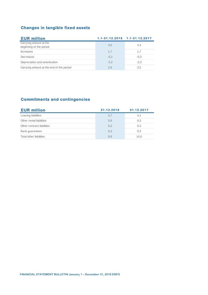| <b>Changes in tangible fixed assets</b>           |                               |        |  |  |  |  |  |
|---------------------------------------------------|-------------------------------|--------|--|--|--|--|--|
| <b>EUR million</b>                                | 1.1-31.12.2018 1.1-31.12.2017 |        |  |  |  |  |  |
| Carrying amount at the<br>beginning of the period | 3.5                           | 4,4    |  |  |  |  |  |
| <b>Increases</b>                                  | 1,7                           | 1,7    |  |  |  |  |  |
| Decreases                                         | $-0.2$                        | $-0.3$ |  |  |  |  |  |
| Depreciation and amortisation                     | $-2.2$                        | $-2.3$ |  |  |  |  |  |
| Carrying amount at the end of the period          | 2,8                           | 3,5    |  |  |  |  |  |

| <b>Commitments and contingencies</b> |            |            |  |  |  |  |
|--------------------------------------|------------|------------|--|--|--|--|
| <b>EUR million</b>                   | 31.12.2018 | 31.12.2017 |  |  |  |  |
| Leasing liabilities                  | 3.7        | 4,1        |  |  |  |  |
| Other rental liabilities             | 5,8        | 9,3        |  |  |  |  |
| Other contract liabilities           | 0.2        | 0,3        |  |  |  |  |
| Bank guarantees                      | 0,3        | 0,3        |  |  |  |  |
| Total other liabilities              | 9,9        | 14,0       |  |  |  |  |